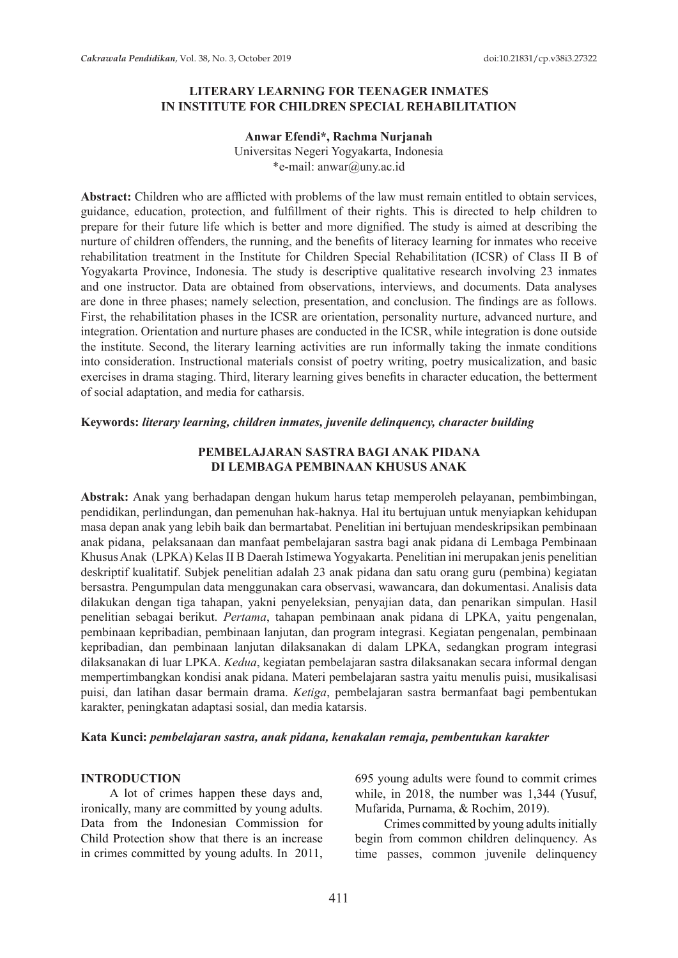### **LITERARY LEARNING FOR TEENAGER INMATES IN INSTITUTE FOR CHILDREN SPECIAL REHABILITATION**

#### **Anwar Efendi\*, Rachma Nurjanah**

Universitas Negeri Yogyakarta, Indonesia \*e-mail: anwar@uny.ac.id

**Abstract:** Children who are afflicted with problems of the law must remain entitled to obtain services, guidance, education, protection, and fulfillment of their rights. This is directed to help children to prepare for their future life which is better and more dignified. The study is aimed at describing the nurture of children offenders, the running, and the benefits of literacy learning for inmates who receive rehabilitation treatment in the Institute for Children Special Rehabilitation (ICSR) of Class II B of Yogyakarta Province, Indonesia. The study is descriptive qualitative research involving 23 inmates and one instructor. Data are obtained from observations, interviews, and documents. Data analyses are done in three phases; namely selection, presentation, and conclusion. The findings are as follows. First, the rehabilitation phases in the ICSR are orientation, personality nurture, advanced nurture, and integration. Orientation and nurture phases are conducted in the ICSR, while integration is done outside the institute. Second, the literary learning activities are run informally taking the inmate conditions into consideration. Instructional materials consist of poetry writing, poetry musicalization, and basic exercises in drama staging. Third, literary learning gives benefits in character education, the betterment of social adaptation, and media for catharsis.

#### **Keywords:** *literary learning, children inmates, juvenile delinquency, character building*

#### **PEMBELAJARAN SASTRA BAGI ANAK PIDANA DI LEMBAGA PEMBINAAN KHUSUS ANAK**

**Abstrak:** Anak yang berhadapan dengan hukum harus tetap memperoleh pelayanan, pembimbingan, pendidikan, perlindungan, dan pemenuhan hak-haknya. Hal itu bertujuan untuk menyiapkan kehidupan masa depan anak yang lebih baik dan bermartabat. Penelitian ini bertujuan mendeskripsikan pembinaan anak pidana, pelaksanaan dan manfaat pembelajaran sastra bagi anak pidana di Lembaga Pembinaan Khusus Anak (LPKA) Kelas II B Daerah Istimewa Yogyakarta. Penelitian ini merupakan jenis penelitian deskriptif kualitatif. Subjek penelitian adalah 23 anak pidana dan satu orang guru (pembina) kegiatan bersastra. Pengumpulan data menggunakan cara observasi, wawancara, dan dokumentasi. Analisis data dilakukan dengan tiga tahapan, yakni penyeleksian, penyajian data, dan penarikan simpulan. Hasil penelitian sebagai berikut. *Pertama*, tahapan pembinaan anak pidana di LPKA, yaitu pengenalan, pembinaan kepribadian, pembinaan lanjutan, dan program integrasi. Kegiatan pengenalan, pembinaan kepribadian, dan pembinaan lanjutan dilaksanakan di dalam LPKA, sedangkan program integrasi dilaksanakan di luar LPKA. *Kedua*, kegiatan pembelajaran sastra dilaksanakan secara informal dengan mempertimbangkan kondisi anak pidana. Materi pembelajaran sastra yaitu menulis puisi, musikalisasi puisi, dan latihan dasar bermain drama. *Ketiga*, pembelajaran sastra bermanfaat bagi pembentukan karakter, peningkatan adaptasi sosial, dan media katarsis.

#### **Kata Kunci:** *pembelajaran sastra, anak pidana, kenakalan remaja, pembentukan karakter*

#### **INTRODUCTION**

A lot of crimes happen these days and, ironically, many are committed by young adults. Data from the Indonesian Commission for Child Protection show that there is an increase in crimes committed by young adults. In 2011, 695 young adults were found to commit crimes while, in 2018, the number was 1,344 (Yusuf, Mufarida, Purnama, & Rochim, 2019).

Crimes committed by young adults initially begin from common children delinquency. As time passes, common juvenile delinquency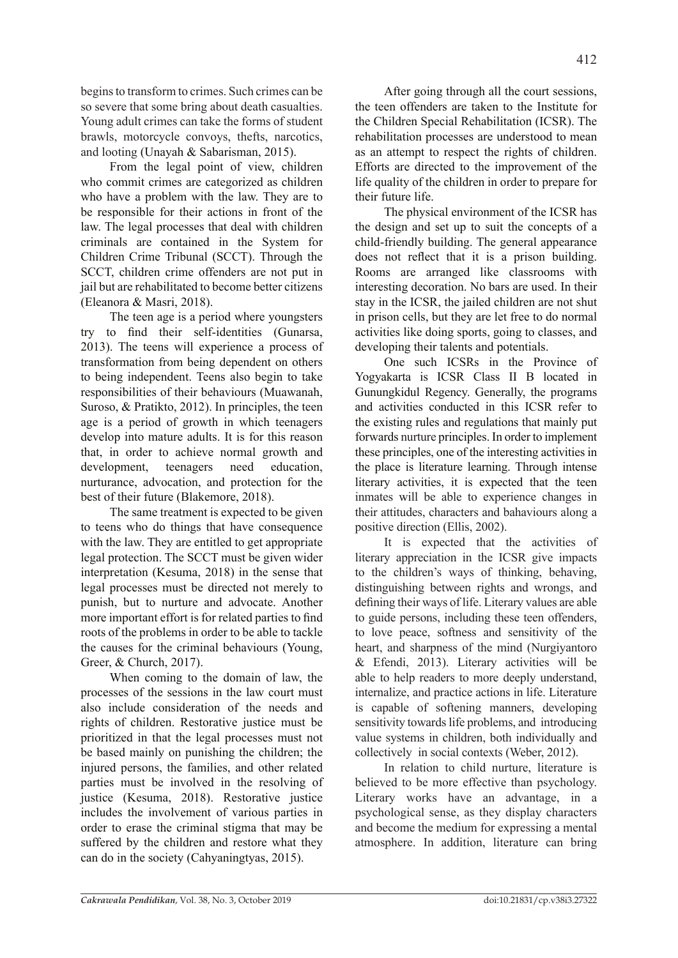begins to transform to crimes. Such crimes can be so severe that some bring about death casualties. Young adult crimes can take the forms of student brawls, motorcycle convoys, thefts, narcotics, and looting (Unayah & Sabarisman, 2015).

From the legal point of view, children who commit crimes are categorized as children who have a problem with the law. They are to be responsible for their actions in front of the law. The legal processes that deal with children criminals are contained in the System for Children Crime Tribunal (SCCT). Through the SCCT, children crime offenders are not put in jail but are rehabilitated to become better citizens (Eleanora & Masri, 2018).

The teen age is a period where youngsters try to find their self-identities (Gunarsa, 2013). The teens will experience a process of transformation from being dependent on others to being independent. Teens also begin to take responsibilities of their behaviours (Muawanah, Suroso, & Pratikto, 2012). In principles, the teen age is a period of growth in which teenagers develop into mature adults. It is for this reason that, in order to achieve normal growth and development, teenagers need education, nurturance, advocation, and protection for the best of their future (Blakemore, 2018).

The same treatment is expected to be given to teens who do things that have consequence with the law. They are entitled to get appropriate legal protection. The SCCT must be given wider interpretation (Kesuma, 2018) in the sense that legal processes must be directed not merely to punish, but to nurture and advocate. Another more important effort is for related parties to find roots of the problems in order to be able to tackle the causes for the criminal behaviours (Young, Greer, & Church, 2017).

When coming to the domain of law, the processes of the sessions in the law court must also include consideration of the needs and rights of children. Restorative justice must be prioritized in that the legal processes must not be based mainly on punishing the children; the injured persons, the families, and other related parties must be involved in the resolving of justice (Kesuma, 2018). Restorative justice includes the involvement of various parties in order to erase the criminal stigma that may be suffered by the children and restore what they can do in the society (Cahyaningtyas, 2015).

After going through all the court sessions, the teen offenders are taken to the Institute for the Children Special Rehabilitation (ICSR). The rehabilitation processes are understood to mean as an attempt to respect the rights of children. Efforts are directed to the improvement of the life quality of the children in order to prepare for their future life.

The physical environment of the ICSR has the design and set up to suit the concepts of a child-friendly building. The general appearance does not reflect that it is a prison building. Rooms are arranged like classrooms with interesting decoration. No bars are used. In their stay in the ICSR, the jailed children are not shut in prison cells, but they are let free to do normal activities like doing sports, going to classes, and developing their talents and potentials.

One such ICSRs in the Province of Yogyakarta is ICSR Class II B located in Gunungkidul Regency. Generally, the programs and activities conducted in this ICSR refer to the existing rules and regulations that mainly put forwards nurture principles. In order to implement these principles, one of the interesting activities in the place is literature learning. Through intense literary activities, it is expected that the teen inmates will be able to experience changes in their attitudes, characters and bahaviours along a positive direction (Ellis, 2002).

It is expected that the activities of literary appreciation in the ICSR give impacts to the children's ways of thinking, behaving, distinguishing between rights and wrongs, and defining their ways of life. Literary values are able to guide persons, including these teen offenders, to love peace, softness and sensitivity of the heart, and sharpness of the mind (Nurgiyantoro & Efendi, 2013). Literary activities will be able to help readers to more deeply understand, internalize, and practice actions in life. Literature is capable of softening manners, developing sensitivity towards life problems, and introducing value systems in children, both individually and collectively in social contexts (Weber, 2012).

In relation to child nurture, literature is believed to be more effective than psychology. Literary works have an advantage, in a psychological sense, as they display characters and become the medium for expressing a mental atmosphere. In addition, literature can bring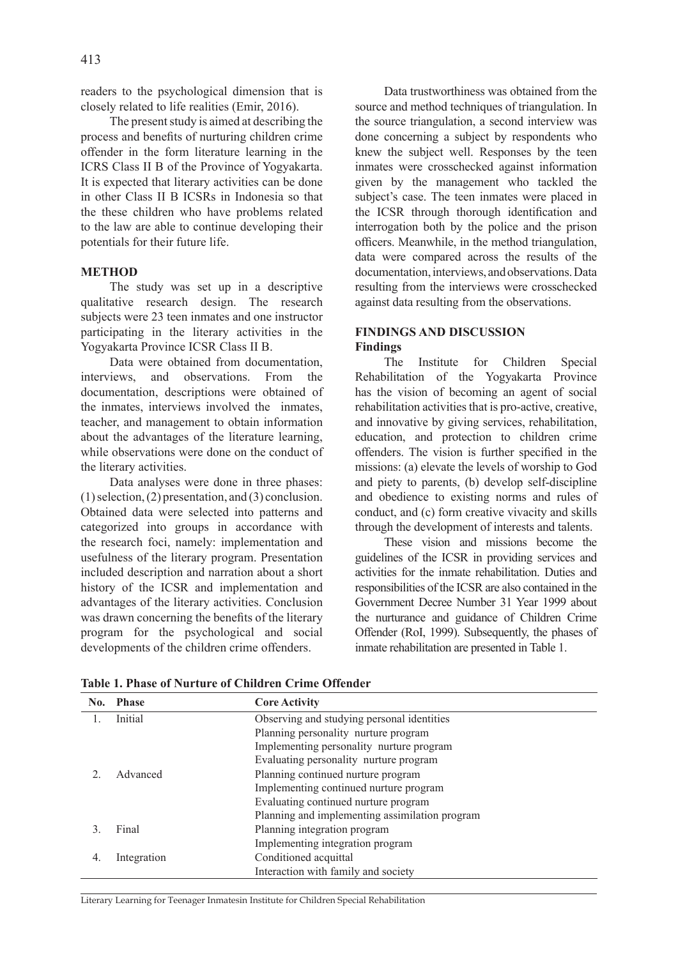readers to the psychological dimension that is closely related to life realities (Emir, 2016).

The present study is aimed at describing the process and benefits of nurturing children crime offender in the form literature learning in the ICRS Class II B of the Province of Yogyakarta. It is expected that literary activities can be done in other Class II B ICSRs in Indonesia so that the these children who have problems related to the law are able to continue developing their potentials for their future life.

#### **METHOD**

The study was set up in a descriptive qualitative research design. The research subjects were 23 teen inmates and one instructor participating in the literary activities in the Yogyakarta Province ICSR Class II B.

Data were obtained from documentation interviews, and observations. From the documentation, descriptions were obtained of the inmates, interviews involved the inmates, teacher, and management to obtain information about the advantages of the literature learning, while observations were done on the conduct of the literary activities.

Data analyses were done in three phases: (1) selection, (2) presentation, and (3) conclusion. Obtained data were selected into patterns and categorized into groups in accordance with the research foci, namely: implementation and usefulness of the literary program. Presentation included description and narration about a short history of the ICSR and implementation and advantages of the literary activities. Conclusion was drawn concerning the benefits of the literary program for the psychological and social developments of the children crime offenders.

Data trustworthiness was obtained from the source and method techniques of triangulation. In the source triangulation, a second interview was done concerning a subject by respondents who knew the subject well. Responses by the teen inmates were crosschecked against information given by the management who tackled the subject's case. The teen inmates were placed in the ICSR through thorough identification and interrogation both by the police and the prison officers. Meanwhile, in the method triangulation, data were compared across the results of the documentation, interviews, and observations. Data resulting from the interviews were crosschecked against data resulting from the observations.

### **FINDINGS AND DISCUSSION Findings**

The Institute for Children Special Rehabilitation of the Yogyakarta Province has the vision of becoming an agent of social rehabilitation activities that is pro-active, creative, and innovative by giving services, rehabilitation, education, and protection to children crime offenders. The vision is further specified in the missions: (a) elevate the levels of worship to God and piety to parents, (b) develop self-discipline and obedience to existing norms and rules of conduct, and (c) form creative vivacity and skills through the development of interests and talents.

These vision and missions become the guidelines of the ICSR in providing services and activities for the inmate rehabilitation. Duties and responsibilities of the ICSR are also contained in the Government Decree Number 31 Year 1999 about the nurturance and guidance of Children Crime Offender (RoI, 1999). Subsequently, the phases of inmate rehabilitation are presented in Table 1.

| $\bf No.$ | Phase       | <b>Core Activity</b>                           |  |
|-----------|-------------|------------------------------------------------|--|
|           | Initial     | Observing and studying personal identities     |  |
|           |             | Planning personality nurture program           |  |
|           |             | Implementing personality nurture program       |  |
|           |             | Evaluating personality nurture program         |  |
|           | Advanced    | Planning continued nurture program             |  |
|           |             | Implementing continued nurture program         |  |
|           |             | Evaluating continued nurture program           |  |
|           |             | Planning and implementing assimilation program |  |
|           | Final       | Planning integration program                   |  |
|           |             | Implementing integration program               |  |
| 4.        | Integration | Conditioned acquittal                          |  |
|           |             | Interaction with family and society            |  |

**Table 1. Phase of Nurture of Children Crime Offender**

Literary Learning for Teenager Inmatesin Institute for Children Special Rehabilitation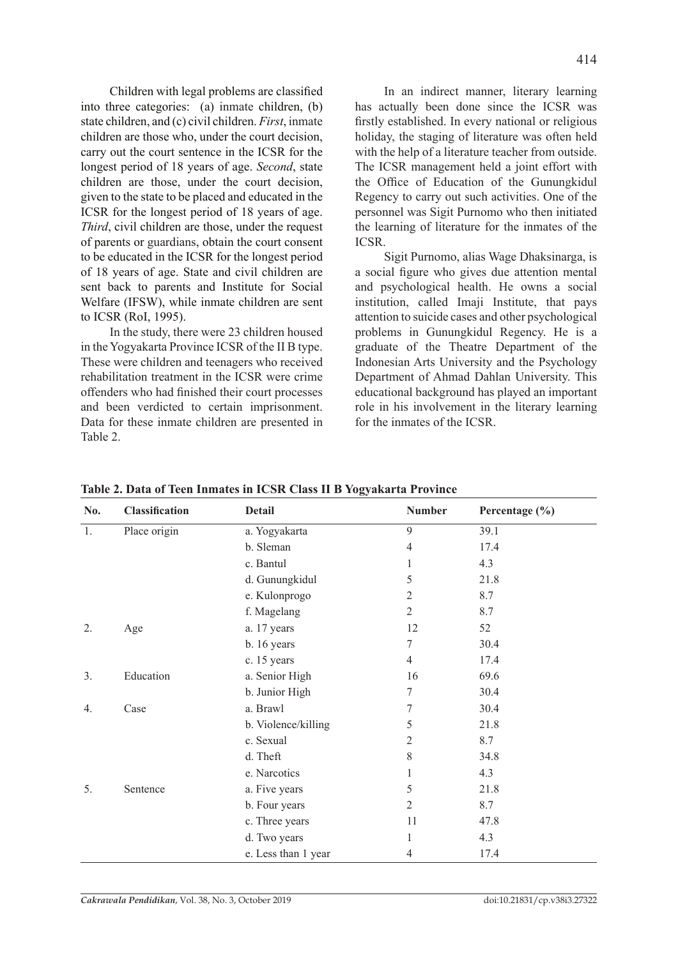Children with legal problems are classified into three categories: (a) inmate children, (b) state children, and (c) civil children. *First*, inmate children are those who, under the court decision, carry out the court sentence in the ICSR for the longest period of 18 years of age. *Second*, state children are those, under the court decision, given to the state to be placed and educated in the ICSR for the longest period of 18 years of age. *Third*, civil children are those, under the request of parents or guardians, obtain the court consent to be educated in the ICSR for the longest period of 18 years of age. State and civil children are sent back to parents and Institute for Social Welfare (IFSW), while inmate children are sent to ICSR (RoI, 1995).

In the study, there were 23 children housed in the Yogyakarta Province ICSR of the II B type. These were children and teenagers who received rehabilitation treatment in the ICSR were crime offenders who had finished their court processes and been verdicted to certain imprisonment. Data for these inmate children are presented in Table 2.

In an indirect manner, literary learning has actually been done since the ICSR was firstly established. In every national or religious holiday, the staging of literature was often held with the help of a literature teacher from outside. The ICSR management held a joint effort with the Office of Education of the Gunungkidul Regency to carry out such activities. One of the personnel was Sigit Purnomo who then initiated the learning of literature for the inmates of the ICSR.

Sigit Purnomo, alias Wage Dhaksinarga, is a social figure who gives due attention mental and psychological health. He owns a social institution, called Imaji Institute, that pays attention to suicide cases and other psychological problems in Gunungkidul Regency. He is a graduate of the Theatre Department of the Indonesian Arts University and the Psychology Department of Ahmad Dahlan University. This educational background has played an important role in his involvement in the literary learning for the inmates of the ICSR.

| No.              | Classification | ⊷<br><b>Detail</b>  | <b>Number</b>  | Percentage (%) |
|------------------|----------------|---------------------|----------------|----------------|
| 1.               | Place origin   | a. Yogyakarta       | 9              | 39.1           |
|                  |                | b. Sleman           | $\overline{4}$ | 17.4           |
|                  |                | c. Bantul           |                | 4.3            |
|                  |                | d. Gunungkidul      | 5              | 21.8           |
|                  |                | e. Kulonprogo       | 2              | 8.7            |
|                  |                | f. Magelang         | $\overline{2}$ | 8.7            |
| 2.               | Age            | a. 17 years         | 12             | 52             |
|                  |                | b. 16 years         | 7              | 30.4           |
|                  |                | c. 15 years         | $\overline{4}$ | 17.4           |
| 3.               | Education      | a. Senior High      | 16             | 69.6           |
|                  |                | b. Junior High      | 7              | 30.4           |
| $\overline{4}$ . | Case           | a. Brawl            | 7              | 30.4           |
|                  |                | b. Violence/killing | 5              | 21.8           |
|                  |                | c. Sexual           | 2              | 8.7            |
|                  |                | d. Theft            | 8              | 34.8           |
|                  |                | e. Narcotics        |                | 4.3            |
| 5.               | Sentence       | a. Five years       | 5              | 21.8           |
|                  |                | b. Four years       | $\overline{2}$ | 8.7            |
|                  |                | c. Three years      | 11             | 47.8           |
|                  |                | d. Two years        | 1              | 4.3            |
|                  |                | e. Less than 1 year | 4              | 17.4           |

**Table 2. Data of Teen Inmates in ICSR Class II B Yogyakarta Province**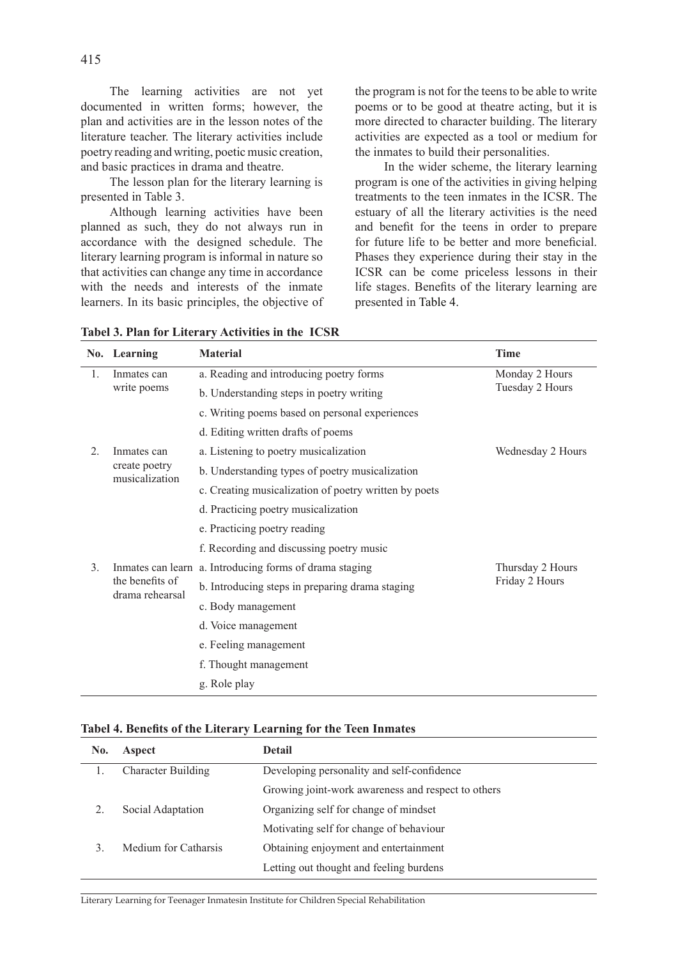The learning activities are not yet documented in written forms; however, the plan and activities are in the lesson notes of the literature teacher. The literary activities include poetry reading and writing, poetic music creation, and basic practices in drama and theatre.

The lesson plan for the literary learning is presented in Table 3.

Although learning activities have been planned as such, they do not always run in accordance with the designed schedule. The literary learning program is informal in nature so that activities can change any time in accordance with the needs and interests of the inmate learners. In its basic principles, the objective of the program is not for the teens to be able to write poems or to be good at theatre acting, but it is more directed to character building. The literary activities are expected as a tool or medium for the inmates to build their personalities.

In the wider scheme, the literary learning program is one of the activities in giving helping treatments to the teen inmates in the ICSR. The estuary of all the literary activities is the need and benefit for the teens in order to prepare for future life to be better and more beneficial. Phases they experience during their stay in the ICSR can be come priceless lessons in their life stages. Benefits of the literary learning are presented in Table 4.

|                  | No. Learning                                   | <b>Material</b>                                         | <b>Time</b>                        |
|------------------|------------------------------------------------|---------------------------------------------------------|------------------------------------|
| 1.               | Inmates can<br>write poems                     | a. Reading and introducing poetry forms                 | Monday 2 Hours<br>Tuesday 2 Hours  |
|                  |                                                | b. Understanding steps in poetry writing                |                                    |
|                  |                                                | c. Writing poems based on personal experiences          |                                    |
|                  |                                                | d. Editing written drafts of poems                      |                                    |
| $\overline{2}$ . | Inmates can<br>create poetry<br>musicalization | a. Listening to poetry musicalization                   | Wednesday 2 Hours                  |
|                  |                                                | b. Understanding types of poetry musicalization         |                                    |
|                  |                                                | c. Creating musicalization of poetry written by poets   |                                    |
|                  |                                                | d. Practicing poetry musicalization                     |                                    |
|                  |                                                | e. Practicing poetry reading                            |                                    |
|                  |                                                | f. Recording and discussing poetry music                |                                    |
| 3.               | the benefits of<br>drama rehearsal             | Inmates can learn a. Introducing forms of drama staging | Thursday 2 Hours<br>Friday 2 Hours |
|                  |                                                | b. Introducing steps in preparing drama staging         |                                    |
|                  |                                                | c. Body management                                      |                                    |
|                  |                                                | d. Voice management                                     |                                    |
|                  |                                                | e. Feeling management                                   |                                    |
|                  |                                                | f. Thought management                                   |                                    |
|                  |                                                | g. Role play                                            |                                    |

### **Tabel 3. Plan for Literary Activities in the ICSR**

#### **Tabel 4. Benefits of the Literary Learning for the Teen Inmates**

| No. | Aspect                    | <b>Detail</b>                                      |  |
|-----|---------------------------|----------------------------------------------------|--|
|     | <b>Character Building</b> | Developing personality and self-confidence         |  |
|     |                           | Growing joint-work awareness and respect to others |  |
|     | Social Adaptation         | Organizing self for change of mindset              |  |
|     |                           | Motivating self for change of behaviour            |  |
|     | Medium for Catharsis      | Obtaining enjoyment and entertainment              |  |
|     |                           | Letting out thought and feeling burdens            |  |

Literary Learning for Teenager Inmatesin Institute for Children Special Rehabilitation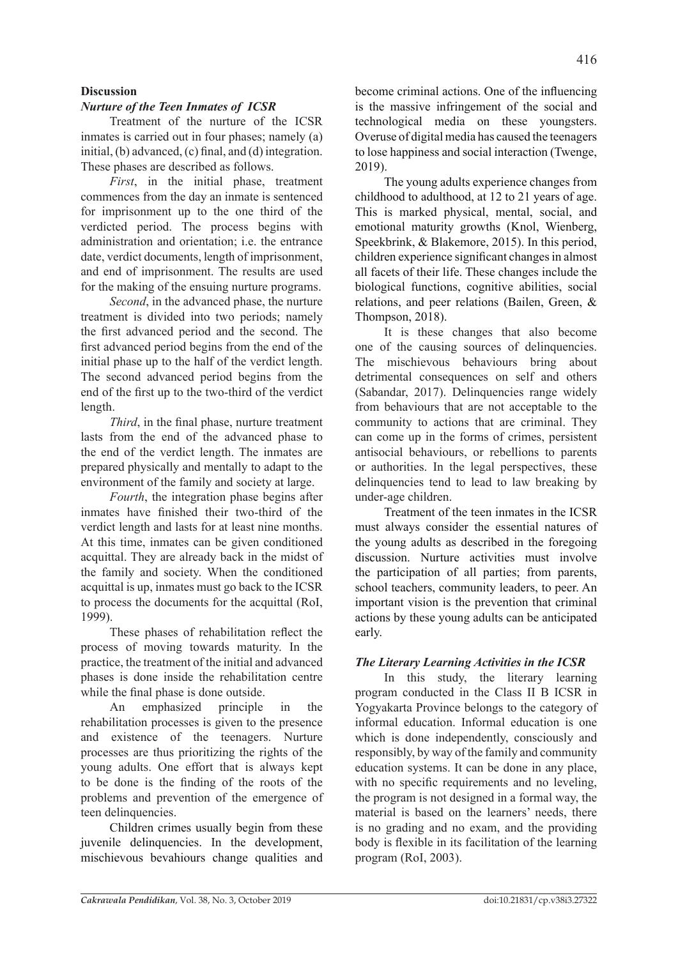# **Discussion**

# *Nurture of the Teen Inmates of ICSR*

Treatment of the nurture of the ICSR inmates is carried out in four phases; namely (a) initial, (b) advanced, (c) final, and (d) integration. These phases are described as follows.

*First*, in the initial phase, treatment commences from the day an inmate is sentenced for imprisonment up to the one third of the verdicted period. The process begins with administration and orientation; i.e. the entrance date, verdict documents, length of imprisonment, and end of imprisonment. The results are used for the making of the ensuing nurture programs.

*Second*, in the advanced phase, the nurture treatment is divided into two periods; namely the first advanced period and the second. The first advanced period begins from the end of the initial phase up to the half of the verdict length. The second advanced period begins from the end of the first up to the two-third of the verdict length.

*Third*, in the final phase, nurture treatment lasts from the end of the advanced phase to the end of the verdict length. The inmates are prepared physically and mentally to adapt to the environment of the family and society at large.

*Fourth*, the integration phase begins after inmates have finished their two-third of the verdict length and lasts for at least nine months. At this time, inmates can be given conditioned acquittal. They are already back in the midst of the family and society. When the conditioned acquittal is up, inmates must go back to the ICSR to process the documents for the acquittal (RoI, 1999).

These phases of rehabilitation reflect the process of moving towards maturity. In the practice, the treatment of the initial and advanced phases is done inside the rehabilitation centre while the final phase is done outside.

An emphasized principle in the rehabilitation processes is given to the presence and existence of the teenagers. Nurture processes are thus prioritizing the rights of the young adults. One effort that is always kept to be done is the finding of the roots of the problems and prevention of the emergence of teen delinquencies.

Children crimes usually begin from these juvenile delinquencies. In the development, mischievous bevahiours change qualities and become criminal actions. One of the influencing is the massive infringement of the social and technological media on these youngsters. Overuse of digital media has caused the teenagers to lose happiness and social interaction (Twenge, 2019).

The young adults experience changes from childhood to adulthood, at 12 to 21 years of age. This is marked physical, mental, social, and emotional maturity growths (Knol, Wienberg, Speekbrink, & Blakemore, 2015). In this period, children experience significant changes in almost all facets of their life. These changes include the biological functions, cognitive abilities, social relations, and peer relations (Bailen, Green, & Thompson, 2018).

It is these changes that also become one of the causing sources of delinquencies. The mischievous behaviours bring about detrimental consequences on self and others (Sabandar, 2017). Delinquencies range widely from behaviours that are not acceptable to the community to actions that are criminal. They can come up in the forms of crimes, persistent antisocial behaviours, or rebellions to parents or authorities. In the legal perspectives, these delinquencies tend to lead to law breaking by under-age children.

Treatment of the teen inmates in the ICSR must always consider the essential natures of the young adults as described in the foregoing discussion. Nurture activities must involve the participation of all parties; from parents, school teachers, community leaders, to peer. An important vision is the prevention that criminal actions by these young adults can be anticipated early.

### *The Literary Learning Activities in the ICSR*

In this study, the literary learning program conducted in the Class II B ICSR in Yogyakarta Province belongs to the category of informal education. Informal education is one which is done independently, consciously and responsibly, by way of the family and community education systems. It can be done in any place, with no specific requirements and no leveling, the program is not designed in a formal way, the material is based on the learners' needs, there is no grading and no exam, and the providing body is flexible in its facilitation of the learning program (RoI, 2003).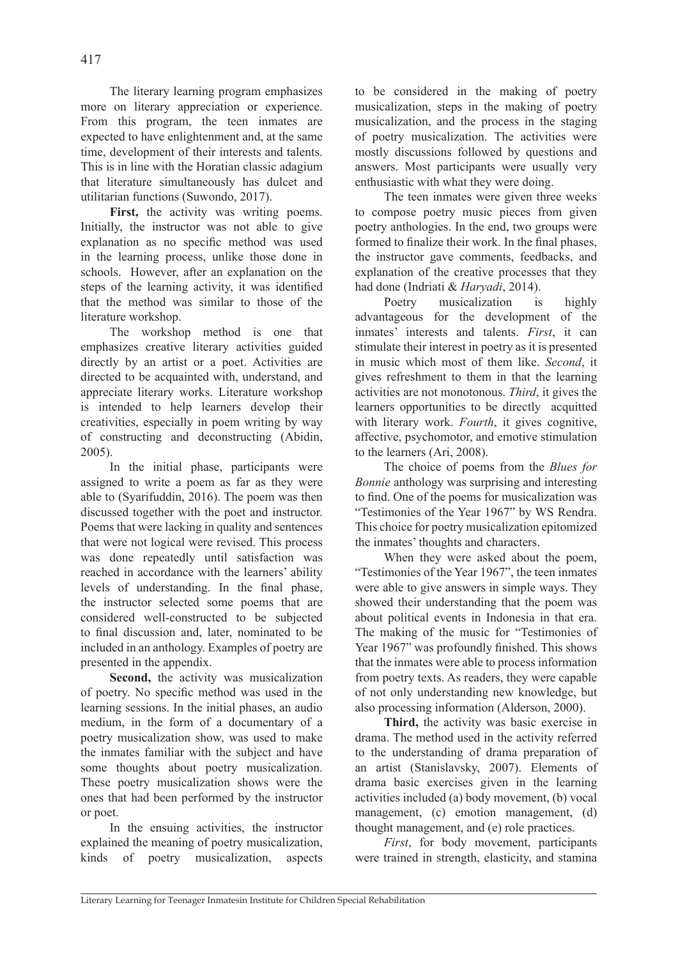The literary learning program emphasizes more on literary appreciation or experience. From this program, the teen inmates are expected to have enlightenment and, at the same time, development of their interests and talents. This is in line with the Horatian classic adagium that literature simultaneously has dulcet and utilitarian functions (Suwondo, 2017).

First, the activity was writing poems. Initially, the instructor was not able to give explanation as no specific method was used in the learning process, unlike those done in schools. However, after an explanation on the steps of the learning activity, it was identified that the method was similar to those of the literature workshop.

The workshop method is one that emphasizes creative literary activities guided directly by an artist or a poet. Activities are directed to be acquainted with, understand, and appreciate literary works. Literature workshop is intended to help learners develop their creativities, especially in poem writing by way of constructing and deconstructing (Abidin, 2005).

In the initial phase, participants were assigned to write a poem as far as they were able to (Syarifuddin, 2016). The poem was then discussed together with the poet and instructor. Poems that were lacking in quality and sentences that were not logical were revised. This process was done repeatedly until satisfaction was reached in accordance with the learners' ability levels of understanding. In the final phase, the instructor selected some poems that are considered well-constructed to be subjected to final discussion and, later, nominated to be included in an anthology. Examples of poetry are presented in the appendix.

**Second,** the activity was musicalization of poetry. No specific method was used in the learning sessions. In the initial phases, an audio medium, in the form of a documentary of a poetry musicalization show, was used to make the inmates familiar with the subject and have some thoughts about poetry musicalization. These poetry musicalization shows were the ones that had been performed by the instructor or poet.

In the ensuing activities, the instructor explained the meaning of poetry musicalization, kinds of poetry musicalization, aspects to be considered in the making of poetry musicalization, steps in the making of poetry musicalization, and the process in the staging of poetry musicalization. The activities were mostly discussions followed by questions and answers. Most participants were usually very enthusiastic with what they were doing.

The teen inmates were given three weeks to compose poetry music pieces from given poetry anthologies. In the end, two groups were formed to finalize their work. In the final phases, the instructor gave comments, feedbacks, and explanation of the creative processes that they had done (Indriati & *Haryadi*, 2014).

Poetry musicalization is highly advantageous for the development of the inmates' interests and talents. *First*, it can stimulate their interest in poetry as it is presented in music which most of them like. *Second*, it gives refreshment to them in that the learning activities are not monotonous. *Third*, it gives the learners opportunities to be directly acquitted with literary work. *Fourth*, it gives cognitive, affective, psychomotor, and emotive stimulation to the learners (Ari, 2008).

The choice of poems from the *Blues for Bonnie* anthology was surprising and interesting to find. One of the poems for musicalization was "Testimonies of the Year 1967" by WS Rendra. This choice for poetry musicalization epitomized the inmates' thoughts and characters.

When they were asked about the poem, "Testimonies of the Year 1967", the teen inmates were able to give answers in simple ways. They showed their understanding that the poem was about political events in Indonesia in that era. The making of the music for "Testimonies of Year 1967" was profoundly finished. This shows that the inmates were able to process information from poetry texts. As readers, they were capable of not only understanding new knowledge, but also processing information (Alderson, 2000).

**Third,** the activity was basic exercise in drama. The method used in the activity referred to the understanding of drama preparation of an artist (Stanislavsky, 2007). Elements of drama basic exercises given in the learning activities included (a) body movement, (b) vocal management, (c) emotion management, (d) thought management, and (e) role practices.

*First*, for body movement, participants were trained in strength, elasticity, and stamina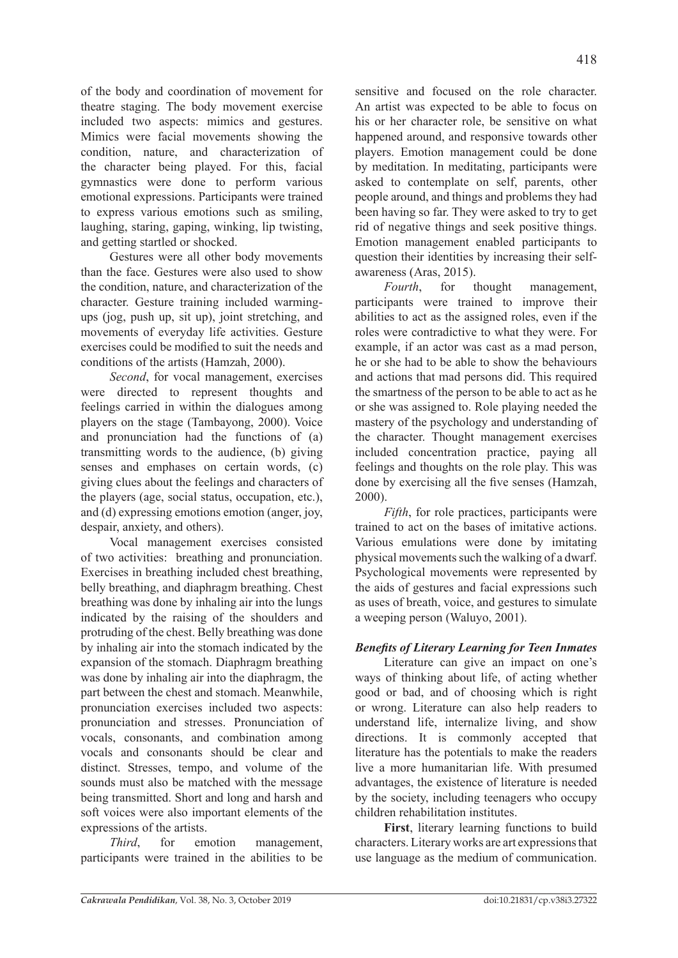of the body and coordination of movement for theatre staging. The body movement exercise included two aspects: mimics and gestures. Mimics were facial movements showing the condition, nature, and characterization of the character being played. For this, facial gymnastics were done to perform various emotional expressions. Participants were trained to express various emotions such as smiling, laughing, staring, gaping, winking, lip twisting, and getting startled or shocked.

Gestures were all other body movements than the face. Gestures were also used to show the condition, nature, and characterization of the character. Gesture training included warmingups (jog, push up, sit up), joint stretching, and movements of everyday life activities. Gesture exercises could be modified to suit the needs and conditions of the artists (Hamzah, 2000).

*Second*, for vocal management, exercises were directed to represent thoughts and feelings carried in within the dialogues among players on the stage (Tambayong, 2000). Voice and pronunciation had the functions of (a) transmitting words to the audience, (b) giving senses and emphases on certain words, (c) giving clues about the feelings and characters of the players (age, social status, occupation, etc.), and (d) expressing emotions emotion (anger, joy, despair, anxiety, and others).

Vocal management exercises consisted of two activities: breathing and pronunciation. Exercises in breathing included chest breathing, belly breathing, and diaphragm breathing. Chest breathing was done by inhaling air into the lungs indicated by the raising of the shoulders and protruding of the chest. Belly breathing was done by inhaling air into the stomach indicated by the expansion of the stomach. Diaphragm breathing was done by inhaling air into the diaphragm, the part between the chest and stomach. Meanwhile, pronunciation exercises included two aspects: pronunciation and stresses. Pronunciation of vocals, consonants, and combination among vocals and consonants should be clear and distinct. Stresses, tempo, and volume of the sounds must also be matched with the message being transmitted. Short and long and harsh and soft voices were also important elements of the expressions of the artists.

*Third*, for emotion management, participants were trained in the abilities to be sensitive and focused on the role character. An artist was expected to be able to focus on his or her character role, be sensitive on what happened around, and responsive towards other players. Emotion management could be done by meditation. In meditating, participants were asked to contemplate on self, parents, other people around, and things and problems they had been having so far. They were asked to try to get rid of negative things and seek positive things. Emotion management enabled participants to question their identities by increasing their selfawareness (Aras, 2015).

*Fourth*, for thought management, participants were trained to improve their abilities to act as the assigned roles, even if the roles were contradictive to what they were. For example, if an actor was cast as a mad person, he or she had to be able to show the behaviours and actions that mad persons did. This required the smartness of the person to be able to act as he or she was assigned to. Role playing needed the mastery of the psychology and understanding of the character. Thought management exercises included concentration practice, paying all feelings and thoughts on the role play. This was done by exercising all the five senses (Hamzah, 2000).

*Fifth*, for role practices, participants were trained to act on the bases of imitative actions. Various emulations were done by imitating physical movements such the walking of a dwarf. Psychological movements were represented by the aids of gestures and facial expressions such as uses of breath, voice, and gestures to simulate a weeping person (Waluyo, 2001).

# *Benefits of Literary Learning for Teen Inmates*

Literature can give an impact on one's ways of thinking about life, of acting whether good or bad, and of choosing which is right or wrong. Literature can also help readers to understand life, internalize living, and show directions. It is commonly accepted that literature has the potentials to make the readers live a more humanitarian life. With presumed advantages, the existence of literature is needed by the society, including teenagers who occupy children rehabilitation institutes.

**First**, literary learning functions to build characters. Literary works are art expressions that use language as the medium of communication.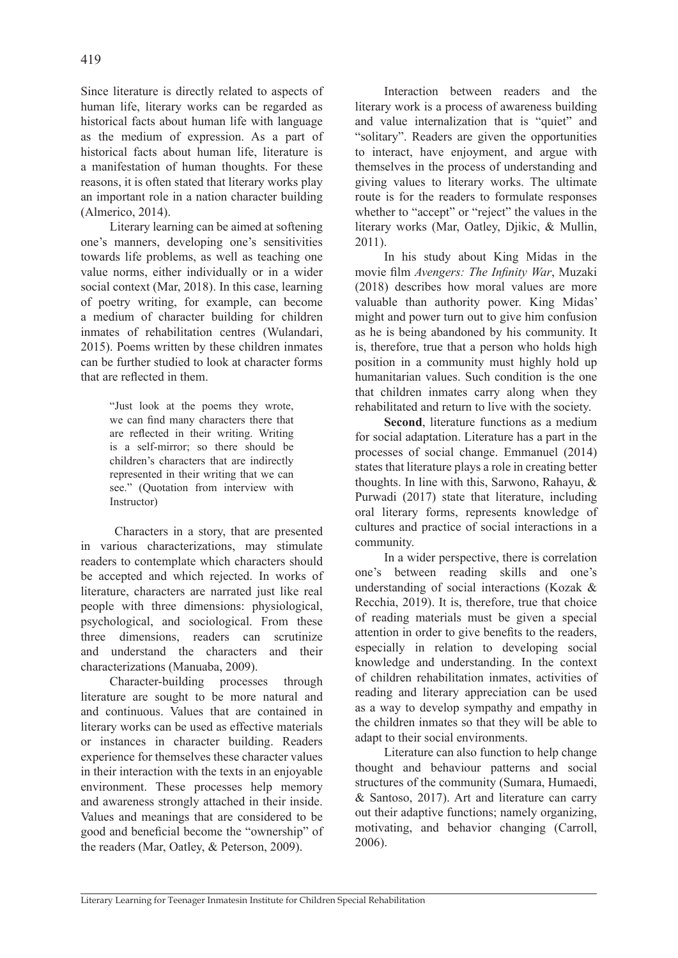Since literature is directly related to aspects of human life, literary works can be regarded as historical facts about human life with language as the medium of expression. As a part of historical facts about human life, literature is a manifestation of human thoughts. For these reasons, it is often stated that literary works play an important role in a nation character building (Almerico, 2014).

Literary learning can be aimed at softening one's manners, developing one's sensitivities towards life problems, as well as teaching one value norms, either individually or in a wider social context (Mar, 2018). In this case, learning of poetry writing, for example, can become a medium of character building for children inmates of rehabilitation centres (Wulandari, 2015). Poems written by these children inmates can be further studied to look at character forms that are reflected in them.

> "Just look at the poems they wrote, we can find many characters there that are reflected in their writing. Writing is a self-mirror; so there should be children's characters that are indirectly represented in their writing that we can see." (Quotation from interview with Instructor)

 Characters in a story, that are presented in various characterizations, may stimulate readers to contemplate which characters should be accepted and which rejected. In works of literature, characters are narrated just like real people with three dimensions: physiological, psychological, and sociological. From these three dimensions, readers can scrutinize and understand the characters and their characterizations (Manuaba, 2009).

Character-building processes through literature are sought to be more natural and and continuous. Values that are contained in literary works can be used as effective materials or instances in character building. Readers experience for themselves these character values in their interaction with the texts in an enjoyable environment. These processes help memory and awareness strongly attached in their inside. Values and meanings that are considered to be good and beneficial become the "ownership" of the readers (Mar, Oatley, & Peterson, 2009).

Interaction between readers and the literary work is a process of awareness building and value internalization that is "quiet" and "solitary". Readers are given the opportunities to interact, have enjoyment, and argue with themselves in the process of understanding and giving values to literary works. The ultimate route is for the readers to formulate responses whether to "accept" or "reject" the values in the literary works (Mar, Oatley, Djikic, & Mullin, 2011).

In his study about King Midas in the movie film *Avengers: The Infinity War*, Muzaki (2018) describes how moral values are more valuable than authority power. King Midas' might and power turn out to give him confusion as he is being abandoned by his community. It is, therefore, true that a person who holds high position in a community must highly hold up humanitarian values. Such condition is the one that children inmates carry along when they rehabilitated and return to live with the society.

**Second**, literature functions as a medium for social adaptation. Literature has a part in the processes of social change. Emmanuel (2014) states that literature plays a role in creating better thoughts. In line with this, Sarwono, Rahayu, & Purwadi (2017) state that literature, including oral literary forms, represents knowledge of cultures and practice of social interactions in a community.

In a wider perspective, there is correlation one's between reading skills and one's understanding of social interactions (Kozak & Recchia, 2019). It is, therefore, true that choice of reading materials must be given a special attention in order to give benefits to the readers, especially in relation to developing social knowledge and understanding. In the context of children rehabilitation inmates, activities of reading and literary appreciation can be used as a way to develop sympathy and empathy in the children inmates so that they will be able to adapt to their social environments.

Literature can also function to help change thought and behaviour patterns and social structures of the community (Sumara, Humaedi, & Santoso, 2017). Art and literature can carry out their adaptive functions; namely organizing, motivating, and behavior changing (Carroll, 2006).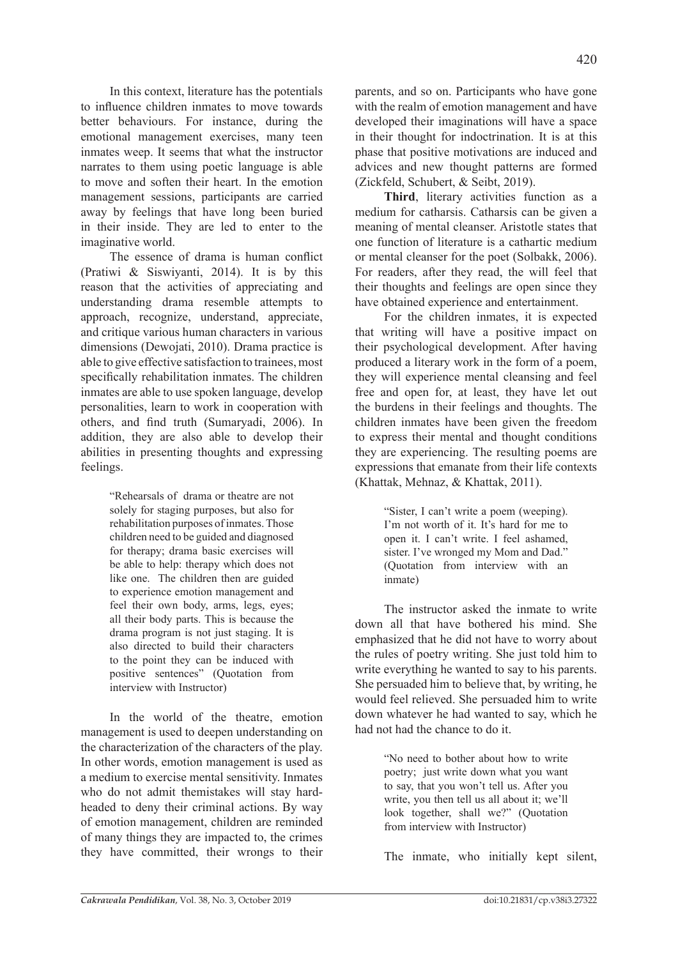In this context, literature has the potentials to influence children inmates to move towards better behaviours. For instance, during the emotional management exercises, many teen inmates weep. It seems that what the instructor narrates to them using poetic language is able to move and soften their heart. In the emotion management sessions, participants are carried away by feelings that have long been buried in their inside. They are led to enter to the imaginative world.

The essence of drama is human conflict (Pratiwi & Siswiyanti, 2014). It is by this reason that the activities of appreciating and understanding drama resemble attempts to approach, recognize, understand, appreciate, and critique various human characters in various dimensions (Dewojati, 2010). Drama practice is able to give effective satisfaction to trainees, most specifically rehabilitation inmates. The children inmates are able to use spoken language, develop personalities, learn to work in cooperation with others, and find truth (Sumaryadi, 2006). In addition, they are also able to develop their abilities in presenting thoughts and expressing feelings.

> "Rehearsals of drama or theatre are not solely for staging purposes, but also for rehabilitation purposes of inmates. Those children need to be guided and diagnosed for therapy; drama basic exercises will be able to help: therapy which does not like one. The children then are guided to experience emotion management and feel their own body, arms, legs, eyes; all their body parts. This is because the drama program is not just staging. It is also directed to build their characters to the point they can be induced with positive sentences" (Quotation from interview with Instructor)

In the world of the theatre, emotion management is used to deepen understanding on the characterization of the characters of the play. In other words, emotion management is used as a medium to exercise mental sensitivity. Inmates who do not admit themistakes will stay hardheaded to deny their criminal actions. By way of emotion management, children are reminded of many things they are impacted to, the crimes they have committed, their wrongs to their parents, and so on. Participants who have gone with the realm of emotion management and have developed their imaginations will have a space in their thought for indoctrination. It is at this phase that positive motivations are induced and advices and new thought patterns are formed (Zickfeld, Schubert, & Seibt, 2019).

**Third**, literary activities function as a medium for catharsis. Catharsis can be given a meaning of mental cleanser. Aristotle states that one function of literature is a cathartic medium or mental cleanser for the poet (Solbakk, 2006). For readers, after they read, the will feel that their thoughts and feelings are open since they have obtained experience and entertainment.

For the children inmates, it is expected that writing will have a positive impact on their psychological development. After having produced a literary work in the form of a poem, they will experience mental cleansing and feel free and open for, at least, they have let out the burdens in their feelings and thoughts. The children inmates have been given the freedom to express their mental and thought conditions they are experiencing. The resulting poems are expressions that emanate from their life contexts (Khattak, Mehnaz, & Khattak, 2011).

> "Sister, I can't write a poem (weeping). I'm not worth of it. It's hard for me to open it. I can't write. I feel ashamed, sister. I've wronged my Mom and Dad." (Quotation from interview with an inmate)

The instructor asked the inmate to write down all that have bothered his mind. She emphasized that he did not have to worry about the rules of poetry writing. She just told him to write everything he wanted to say to his parents. She persuaded him to believe that, by writing, he would feel relieved. She persuaded him to write down whatever he had wanted to say, which he had not had the chance to do it.

> "No need to bother about how to write poetry; just write down what you want to say, that you won't tell us. After you write, you then tell us all about it; we'll look together, shall we?" (Quotation from interview with Instructor)

The inmate, who initially kept silent,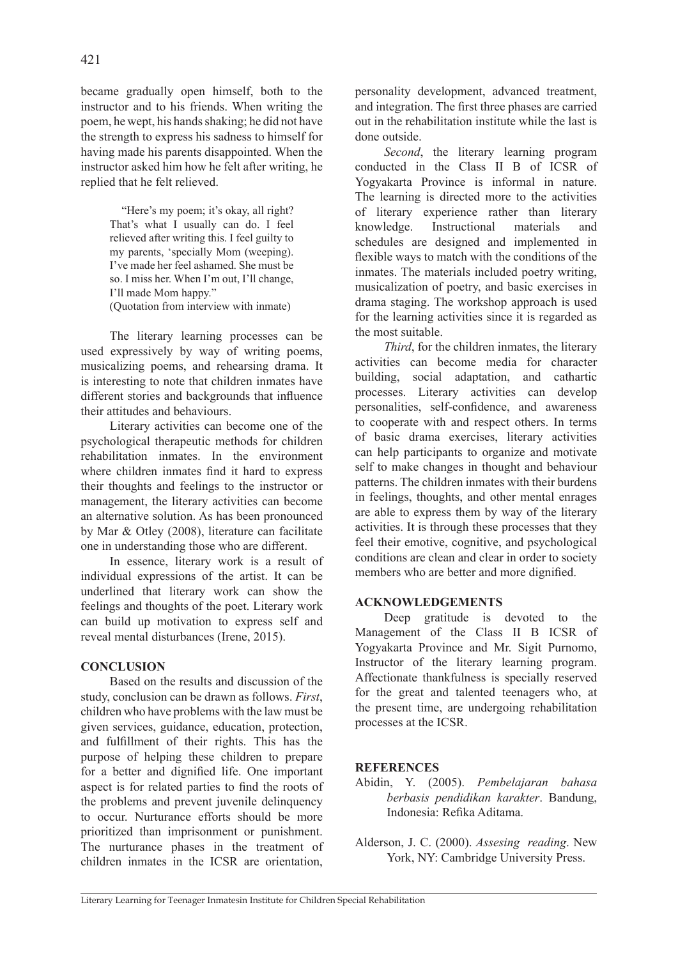became gradually open himself, both to the instructor and to his friends. When writing the poem, he wept, his hands shaking; he did not have the strength to express his sadness to himself for having made his parents disappointed. When the instructor asked him how he felt after writing, he replied that he felt relieved.

> "Here's my poem; it's okay, all right? That's what I usually can do. I feel relieved after writing this. I feel guilty to my parents, 'specially Mom (weeping). I've made her feel ashamed. She must be so. I miss her. When I'm out, I'll change, I'll made Mom happy." (Quotation from interview with inmate)

The literary learning processes can be used expressively by way of writing poems, musicalizing poems, and rehearsing drama. It is interesting to note that children inmates have different stories and backgrounds that influence their attitudes and behaviours.

Literary activities can become one of the psychological therapeutic methods for children rehabilitation inmates. In the environment where children inmates find it hard to express their thoughts and feelings to the instructor or management, the literary activities can become an alternative solution. As has been pronounced by Mar & Otley (2008), literature can facilitate one in understanding those who are different.

In essence, literary work is a result of individual expressions of the artist. It can be underlined that literary work can show the feelings and thoughts of the poet. Literary work can build up motivation to express self and reveal mental disturbances (Irene, 2015).

# **CONCLUSION**

Based on the results and discussion of the study, conclusion can be drawn as follows. *First*, children who have problems with the law must be given services, guidance, education, protection, and fulfillment of their rights. This has the purpose of helping these children to prepare for a better and dignified life. One important aspect is for related parties to find the roots of the problems and prevent juvenile delinquency to occur. Nurturance efforts should be more prioritized than imprisonment or punishment. The nurturance phases in the treatment of children inmates in the ICSR are orientation, personality development, advanced treatment, and integration. The first three phases are carried out in the rehabilitation institute while the last is done outside.

*Second*, the literary learning program conducted in the Class II B of ICSR of Yogyakarta Province is informal in nature. The learning is directed more to the activities of literary experience rather than literary knowledge. Instructional materials and schedules are designed and implemented in flexible ways to match with the conditions of the inmates. The materials included poetry writing, musicalization of poetry, and basic exercises in drama staging. The workshop approach is used for the learning activities since it is regarded as the most suitable.

*Third*, for the children inmates, the literary activities can become media for character building, social adaptation, and cathartic processes. Literary activities can develop personalities, self-confidence, and awareness to cooperate with and respect others. In terms of basic drama exercises, literary activities can help participants to organize and motivate self to make changes in thought and behaviour patterns. The children inmates with their burdens in feelings, thoughts, and other mental enrages are able to express them by way of the literary activities. It is through these processes that they feel their emotive, cognitive, and psychological conditions are clean and clear in order to society members who are better and more dignified.

# **ACKNOWLEDGEMENTS**

Deep gratitude is devoted to the Management of the Class II B ICSR of Yogyakarta Province and Mr. Sigit Purnomo, Instructor of the literary learning program. Affectionate thankfulness is specially reserved for the great and talented teenagers who, at the present time, are undergoing rehabilitation processes at the ICSR.

# **REFERENCES**

- Abidin, Y. (2005). *Pembelajaran bahasa berbasis pendidikan karakter*. Bandung, Indonesia: Refika Aditama.
- Alderson, J. C. (2000). *Assesing reading*. New York, NY: Cambridge University Press.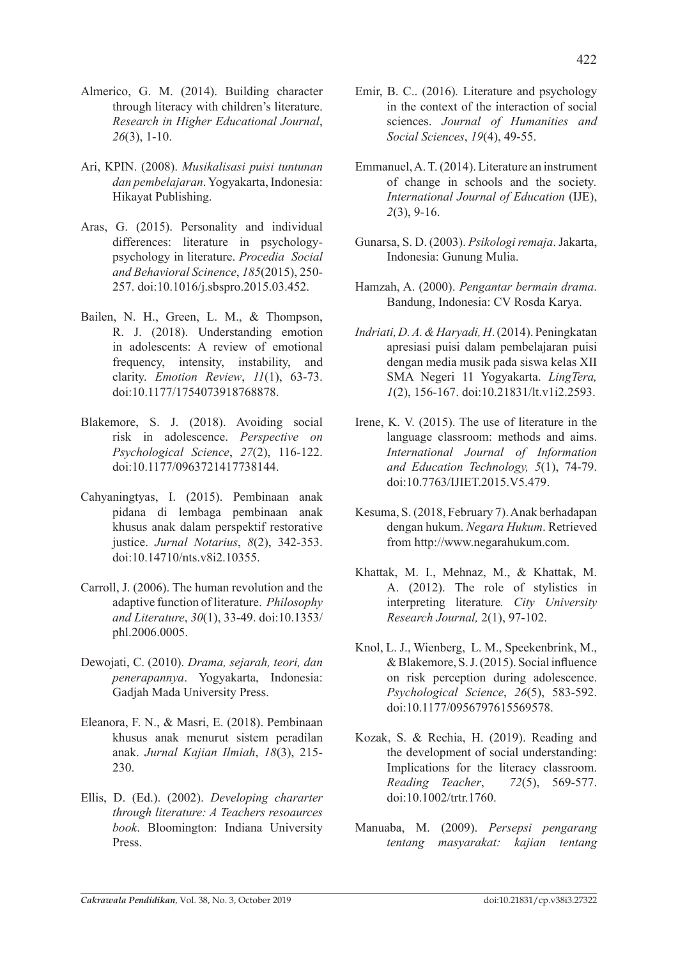- Almerico, G. M. (2014). Building character through literacy with children's literature. *Research in Higher Educational Journal*, *26*(3), 1-10.
- Ari, KPIN. (2008). *Musikalisasi puisi tuntunan dan pembelajaran*. Yogyakarta, Indonesia: Hikayat Publishing.
- Aras, G. (2015). Personality and individual differences: literature in psychologypsychology in literature. *Procedia Social and Behavioral Scinence*, *185*(2015), 250- 257. doi:10.1016/j.sbspro.2015.03.452.
- Bailen, N. H., Green, L. M., & Thompson, R. J. (2018). Understanding emotion in adolescents: A review of emotional frequency, intensity, instability, and clarity. *Emotion Review*, *11*(1), 63-73. doi:10.1177/1754073918768878.
- Blakemore, S. J. (2018). Avoiding social risk in adolescence. *Perspective on Psychological Science*, *27*(2), 116-122. doi:10.1177/0963721417738144.
- Cahyaningtyas, I. (2015). Pembinaan anak pidana di lembaga pembinaan anak khusus anak dalam perspektif restorative justice. *Jurnal Notarius*, *8*(2), 342-353. doi:10.14710/nts.v8i2.10355.
- Carroll, J. (2006). The human revolution and the adaptive function of literature. *Philosophy and Literature*, *30*(1), 33-49. doi:10.1353/ phl.2006.0005.
- Dewojati, C. (2010). *Drama, sejarah, teori, dan penerapannya*. Yogyakarta, Indonesia: Gadjah Mada University Press.
- Eleanora, F. N., & Masri, E. (2018). Pembinaan khusus anak menurut sistem peradilan anak. *Jurnal Kajian Ilmiah*, *18*(3), 215- 230.
- Ellis, D. (Ed.). (2002). *Developing chararter through literature: A Teachers resoaurces book*. Bloomington: Indiana University Press.
- Emir, B. C.. (2016)*.* Literature and psychology in the context of the interaction of social sciences. *Journal of Humanities and Social Sciences*, *19*(4), 49-55.
- Emmanuel, A. T. (2014). Literature an instrument of change in schools and the society*. International Journal of Education* (IJE), *2*(3), 9-16.
- Gunarsa, S. D. (2003). *Psikologi remaja*. Jakarta, Indonesia: Gunung Mulia.
- Hamzah, A. (2000). *Pengantar bermain drama*. Bandung, Indonesia: CV Rosda Karya.
- *Indriati, D. A. & Haryadi, H*. (2014). Peningkatan apresiasi puisi dalam pembelajaran puisi dengan media musik pada siswa kelas XII SMA Negeri 11 Yogyakarta. *LingTera, 1*(2), 156-167. doi:10.21831/lt.v1i2.2593.
- Irene, K. V. (2015). The use of literature in the language classroom: methods and aims. *International Journal of Information and Education Technology, 5*(1), 74-79. doi:10.7763/IJIET.2015.V5.479.
- Kesuma, S. (2018, February 7). Anak berhadapan dengan hukum. *Negara Hukum*. Retrieved from http://www.negarahukum.com.
- Khattak, M. I., Mehnaz, M., & Khattak, M. A. (2012). The role of stylistics in interpreting literature*. City University Research Journal,* 2(1), 97-102.
- Knol, L. J., Wienberg, L. M., Speekenbrink, M., & Blakemore, S. J. (2015). Social influence on risk perception during adolescence. *Psychological Science*, *26*(5), 583-592. doi:10.1177/0956797615569578.
- Kozak, S. & Rechia, H. (2019). Reading and the development of social understanding: Implications for the literacy classroom. *Reading Teacher*, *72*(5), 569-577. doi:10.1002/trtr.1760.
- Manuaba, M. (2009). *Persepsi pengarang tentang masyarakat: kajian tentang*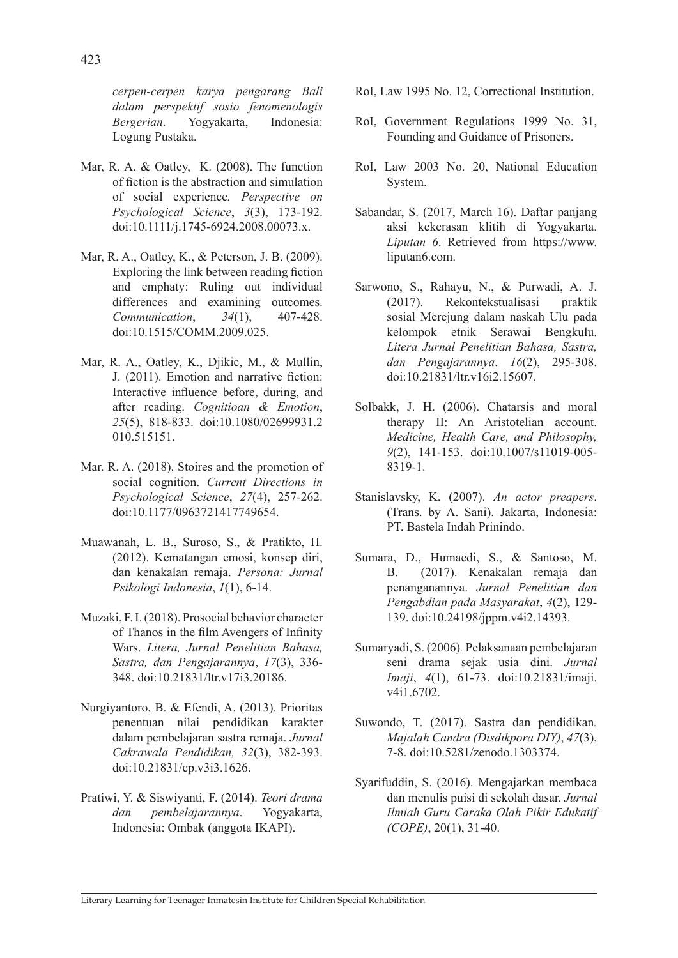*cerpen-cerpen karya pengarang Bali dalam perspektif sosio fenomenologis Bergerian*. Yogyakarta, Indonesia: Logung Pustaka.

- Mar, R. A. & Oatley, K. (2008). The function of fiction is the abstraction and simulation of social experience*. Perspective on Psychological Science*, *3*(3), 173-192. doi:10.1111/j.1745-6924.2008.00073.x.
- Mar, R. A., Oatley, K., & Peterson, J. B. (2009). Exploring the link between reading fiction and emphaty: Ruling out individual differences and examining outcomes. *Communication*, *34*(1), 407-428. doi:10.1515/COMM.2009.025.
- Mar, R. A., Oatley, K., Djikic, M., & Mullin, J. (2011). Emotion and narrative fiction: Interactive influence before, during, and after reading. *Cognitioan & Emotion*, *25*(5), 818-833. doi:10.1080/02699931.2 010.515151.
- Mar. R. A. (2018). Stoires and the promotion of social cognition. *Current Directions in Psychological Science*, *27*(4), 257-262. doi:10.1177/0963721417749654.
- Muawanah, L. B., Suroso, S., & Pratikto, H. (2012). Kematangan emosi, konsep diri, dan kenakalan remaja. *Persona: Jurnal Psikologi Indonesia*, *1*(1), 6-14.
- Muzaki, F. I. (2018). Prosocial behavior character of Thanos in the film Avengers of Infinity Wars. *Litera, Jurnal Penelitian Bahasa, Sastra, dan Pengajarannya*, *17*(3), 336- 348. doi:10.21831/ltr.v17i3.20186.
- Nurgiyantoro, B. & Efendi, A. (2013). Prioritas penentuan nilai pendidikan karakter dalam pembelajaran sastra remaja. *Jurnal Cakrawala Pendidikan, 32*(3), 382-393. doi:10.21831/cp.v3i3.1626.
- Pratiwi, Y. & Siswiyanti, F. (2014). *Teori drama dan pembelajarannya*. Yogyakarta, Indonesia: Ombak (anggota IKAPI).
- RoI, Law 1995 No. 12, Correctional Institution.
- RoI, Government Regulations 1999 No. 31, Founding and Guidance of Prisoners.
- RoI, Law 2003 No. 20, National Education System.
- Sabandar, S. (2017, March 16). Daftar panjang aksi kekerasan klitih di Yogyakarta. *Liputan 6*. Retrieved from https://www. liputan6.com.
- Sarwono, S., Rahayu, N., & Purwadi, A. J. (2017). Rekontekstualisasi praktik sosial Merejung dalam naskah Ulu pada kelompok etnik Serawai Bengkulu. *Litera Jurnal Penelitian Bahasa, Sastra, dan Pengajarannya*. *16*(2), 295-308. doi:10.21831/ltr.v16i2.15607.
- Solbakk, J. H. (2006). Chatarsis and moral therapy II: An Aristotelian account. *Medicine, Health Care, and Philosophy, 9*(2), 141-153. doi:10.1007/s11019-005- 8319-1.
- Stanislavsky, K. (2007). *An actor preapers*. (Trans. by A. Sani). Jakarta, Indonesia: PT. Bastela Indah Prinindo.
- Sumara, D., Humaedi, S., & Santoso, M. B. (2017). Kenakalan remaja dan penanganannya. *Jurnal Penelitian dan Pengabdian pada Masyarakat*, *4*(2), 129- 139. doi:10.24198/jppm.v4i2.14393.
- Sumaryadi, S. (2006)*.* Pelaksanaan pembelajaran seni drama sejak usia dini. *Jurnal Imaji*, *4*(1), 61-73. doi:10.21831/imaji. v4i1.6702.
- Suwondo, T. (2017). Sastra dan pendidikan*. Majalah Candra (Disdikpora DIY)*, *47*(3), 7-8. doi:10.5281/zenodo.1303374.
- Syarifuddin, S. (2016). Mengajarkan membaca dan menulis puisi di sekolah dasar. *Jurnal Ilmiah Guru Caraka Olah Pikir Edukatif (COPE)*, 20(1), 31-40.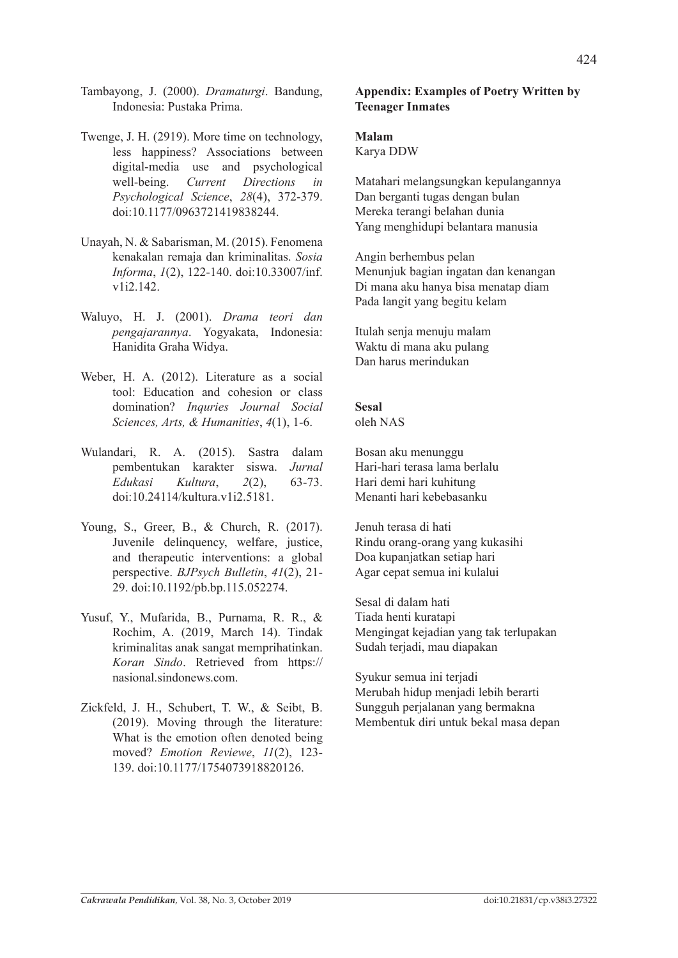- Tambayong, J. (2000). *Dramaturgi*. Bandung, Indonesia: Pustaka Prima.
- Twenge, J. H. (2919). More time on technology, less happiness? Associations between digital-media use and psychological well-being. *Current Directions in Psychological Science*, *28*(4), 372-379. doi:10.1177/0963721419838244.
- Unayah, N. & Sabarisman, M. (2015). Fenomena kenakalan remaja dan kriminalitas. *Sosia Informa*, *1*(2), 122-140. doi:10.33007/inf. v1i2.142.
- Waluyo, H. J. (2001). *Drama teori dan pengajarannya*. Yogyakata, Indonesia: Hanidita Graha Widya.
- Weber, H. A. (2012). Literature as a social tool: Education and cohesion or class domination? *Inquries Journal Social Sciences, Arts, & Humanities*, *4*(1), 1-6.
- Wulandari, R. A. (2015). Sastra dalam pembentukan karakter siswa. *Jurnal Edukasi Kultura*, *2*(2), 63-73. doi:10.24114/kultura.v1i2.5181.
- Young, S., Greer, B., & Church, R. (2017). Juvenile delinquency, welfare, justice, and therapeutic interventions: a global perspective. *BJPsych Bulletin*, *41*(2), 21- 29. doi:10.1192/pb.bp.115.052274.
- Yusuf, Y., Mufarida, B., Purnama, R. R., & Rochim, A. (2019, March 14). Tindak kriminalitas anak sangat memprihatinkan. *Koran Sindo*. Retrieved from https:// nasional.sindonews.com.
- Zickfeld, J. H., Schubert, T. W., & Seibt, B. (2019). Moving through the literature: What is the emotion often denoted being moved? *Emotion Reviewe*, *11*(2), 123- 139. doi:10.1177/1754073918820126.

### **Appendix: Examples of Poetry Written by Teenager Inmates**

### **Malam**

Karya DDW

Matahari melangsungkan kepulangannya Dan berganti tugas dengan bulan Mereka terangi belahan dunia Yang menghidupi belantara manusia

Angin berhembus pelan Menunjuk bagian ingatan dan kenangan Di mana aku hanya bisa menatap diam Pada langit yang begitu kelam

Itulah senja menuju malam Waktu di mana aku pulang Dan harus merindukan

### **Sesal**

oleh NAS

Bosan aku menunggu Hari-hari terasa lama berlalu Hari demi hari kuhitung Menanti hari kebebasanku

Jenuh terasa di hati Rindu orang-orang yang kukasihi Doa kupanjatkan setiap hari Agar cepat semua ini kulalui

Sesal di dalam hati Tiada henti kuratapi Mengingat kejadian yang tak terlupakan Sudah terjadi, mau diapakan

Syukur semua ini terjadi Merubah hidup menjadi lebih berarti Sungguh perjalanan yang bermakna Membentuk diri untuk bekal masa depan